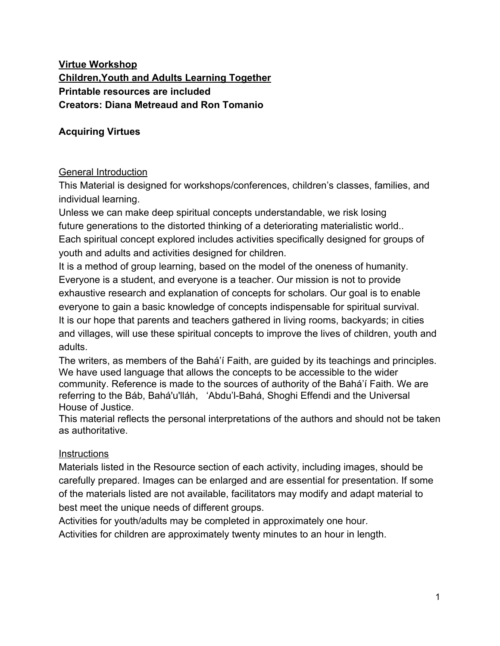#### **Virtue Workshop Children,Youth and Adults Learning Together Printable resources are included Creators: Diana Metreaud and Ron Tomanio**

#### **Acquiring Virtues**

#### General Introduction

This Material is designed for workshops/conferences, children's classes, families, and individual learning.

Unless we can make deep spiritual concepts understandable, we risk losing future generations to the distorted thinking of a deteriorating materialistic world.. Each spiritual concept explored includes activities specifically designed for groups of youth and adults and activities designed for children.

It is a method of group learning, based on the model of the oneness of humanity. Everyone is a student, and everyone is a teacher. Our mission is not to provide exhaustive research and explanation of concepts for scholars. Our goal is to enable everyone to gain a basic knowledge of concepts indispensable for spiritual survival. It is our hope that parents and teachers gathered in living rooms, backyards; in cities and villages, will use these spiritual concepts to improve the lives of children, youth and adults.

The writers, as members of the Bahá'í Faith, are guided by its teachings and principles. We have used language that allows the concepts to be accessible to the wider community. Reference is made to the sources of authority of the Bahá'í Faith. We are referring to the Báb, Bahá'u'lláh, 'Abdu'l-Bahá, Shoghi Effendi and the Universal House of Justice.

This material reflects the personal interpretations of the authors and should not be taken as authoritative.

#### **Instructions**

Materials listed in the Resource section of each activity, including images, should be carefully prepared. Images can be enlarged and are essential for presentation. If some of the materials listed are not available, facilitators may modify and adapt material to best meet the unique needs of different groups.

Activities for youth/adults may be completed in approximately one hour.

Activities for children are approximately twenty minutes to an hour in length.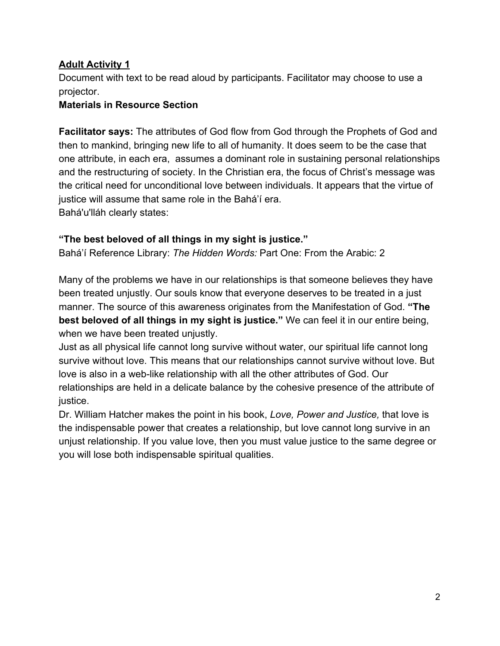#### **Adult Activity 1**

Document with text to be read aloud by participants. Facilitator may choose to use a projector.

#### **Materials in Resource Section**

**Facilitator says:** The attributes of God flow from God through the Prophets of God and then to mankind, bringing new life to all of humanity. It does seem to be the case that one attribute, in each era, assumes a dominant role in sustaining personal relationships and the restructuring of society. In the Christian era, the focus of Christ's message was the critical need for unconditional love between individuals. It appears that the virtue of justice will assume that same role in the Bahá'í era. Bahá'u'lláh clearly states:

#### **"The best beloved of all things in my sight is justice."**

Bahá'í Reference Library: *The Hidden Words:* Part One: From the Arabic: 2

Many of the problems we have in our relationships is that someone believes they have been treated unjustly. Our souls know that everyone deserves to be treated in a just manner. The source of this awareness originates from the Manifestation of God. **"The best beloved of all things in my sight is justice."** We can feel it in our entire being, when we have been treated unjustly.

Just as all physical life cannot long survive without water, our spiritual life cannot long survive without love. This means that our relationships cannot survive without love. But love is also in a web-like relationship with all the other attributes of God. Our relationships are held in a delicate balance by the cohesive presence of the attribute of justice.

Dr. William Hatcher makes the point in his book, *Love, Power and Justice,* that love is the indispensable power that creates a relationship, but love cannot long survive in an unjust relationship. If you value love, then you must value justice to the same degree or you will lose both indispensable spiritual qualities.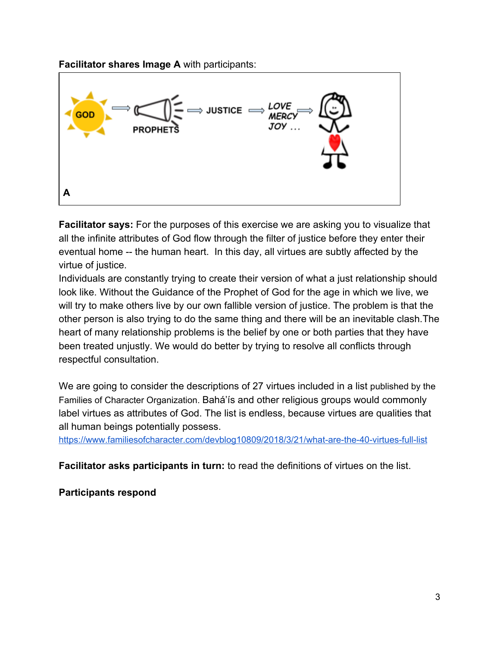**Facilitator shares Image A** with participants:



**Facilitator says:** For the purposes of this exercise we are asking you to visualize that all the infinite attributes of God flow through the filter of justice before they enter their eventual home -- the human heart. In this day, all virtues are subtly affected by the virtue of justice.

Individuals are constantly trying to create their version of what a just relationship should look like. Without the Guidance of the Prophet of God for the age in which we live, we will try to make others live by our own fallible version of justice. The problem is that the other person is also trying to do the same thing and there will be an inevitable clash.The heart of many relationship problems is the belief by one or both parties that they have been treated unjustly. We would do better by trying to resolve all conflicts through respectful consultation.

We are going to consider the descriptions of 27 virtues included in a list published by the Families of Character Organization. Bahá'ís and other religious groups would commonly label virtues as attributes of God. The list is endless, because virtues are qualities that all human beings potentially possess.

<https://www.familiesofcharacter.com/devblog10809/2018/3/21/what-are-the-40-virtues-full-list>

**Facilitator asks participants in turn:** to read the definitions of virtues on the list.

**Participants respond**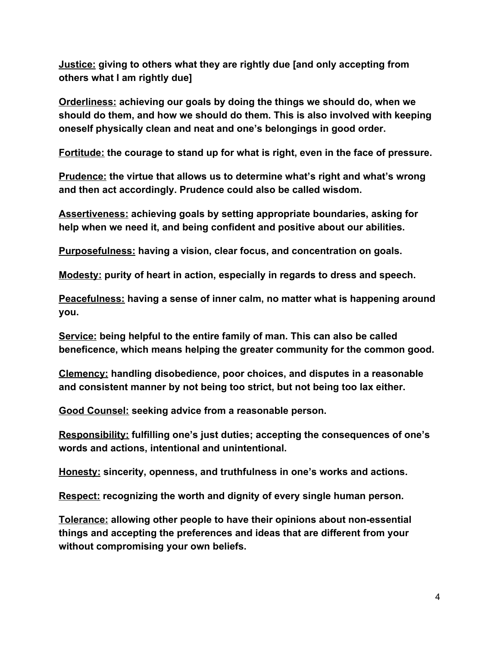**Justice: giving to others what they are rightly due [and only accepting from others what I am rightly due]**

**Orderliness: achieving our goals by doing the things we should do, when we should do them, and how we should do them. This is also involved with keeping oneself physically clean and neat and one's belongings in good order.**

**Fortitude: the courage to stand up for what is right, even in the face of pressure.**

**Prudence: the virtue that allows us to determine what's right and what's wrong and then act accordingly. Prudence could also be called wisdom.**

**Assertiveness: achieving goals by setting appropriate boundaries, asking for help when we need it, and being confident and positive about our abilities.**

**Purposefulness: having a vision, clear focus, and concentration on goals.**

**Modesty: purity of heart in action, especially in regards to dress and speech.**

**Peacefulness: having a sense of inner calm, no matter what is happening around you.**

**Service: being helpful to the entire family of man. This can also be called beneficence, which means helping the greater community for the common good.**

**Clemency: handling disobedience, poor choices, and disputes in a reasonable and consistent manner by not being too strict, but not being too lax either.**

**Good Counsel: seeking advice from a reasonable person.**

**Responsibility: fulfilling one's just duties; accepting the consequences of one's words and actions, intentional and unintentional.**

**Honesty: sincerity, openness, and truthfulness in one's works and actions.**

**Respect: recognizing the worth and dignity of every single human person.**

**Tolerance: allowing other people to have their opinions about non-essential things and accepting the preferences and ideas that are different from your without compromising your own beliefs.**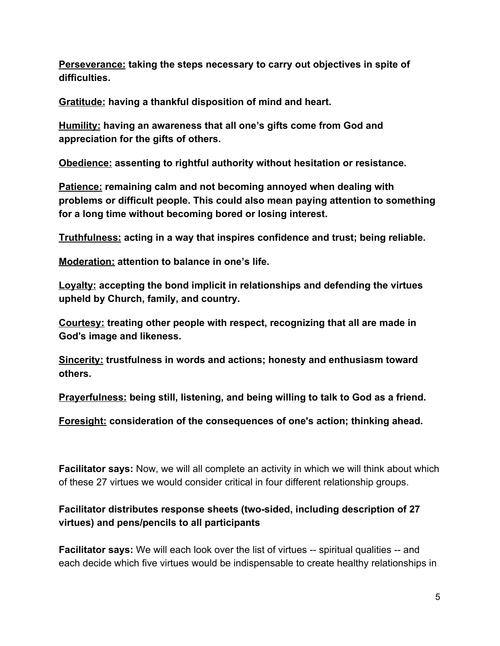**Perseverance: taking the steps necessary to carry out objectives in spite of difficulties.**

**Gratitude: having a thankful disposition of mind and heart.**

**Humility: having an awareness that all one's gifts come from God and appreciation for the gifts of others.**

**Obedience: assenting to rightful authority without hesitation or resistance.**

**Patience: remaining calm and not becoming annoyed when dealing with problems or difficult people. This could also mean paying attention to something for a long time without becoming bored or losing interest.**

**Truthfulness: acting in a way that inspires confidence and trust; being reliable.**

**Moderation: attention to balance in one's life.**

**Loyalty: accepting the bond implicit in relationships and defending the virtues upheld by Church, family, and country.**

**Courtesy: treating other people with respect, recognizing that all are made in God's image and likeness.**

**Sincerity: trustfulness in words and actions; honesty and enthusiasm toward others.**

**Prayerfulness: being still, listening, and being willing to talk to God as a friend.**

**Foresight: consideration of the consequences of one's action; thinking ahead.**

**Facilitator says:** Now, we will all complete an activity in which we will think about which of these 27 virtues we would consider critical in four different relationship groups.

#### **Facilitator distributes response sheets (two-sided, including description of 27 virtues) and pens/pencils to all participants**

**Facilitator says:** We will each look over the list of virtues -- spiritual qualities -- and each decide which five virtues would be indispensable to create healthy relationships in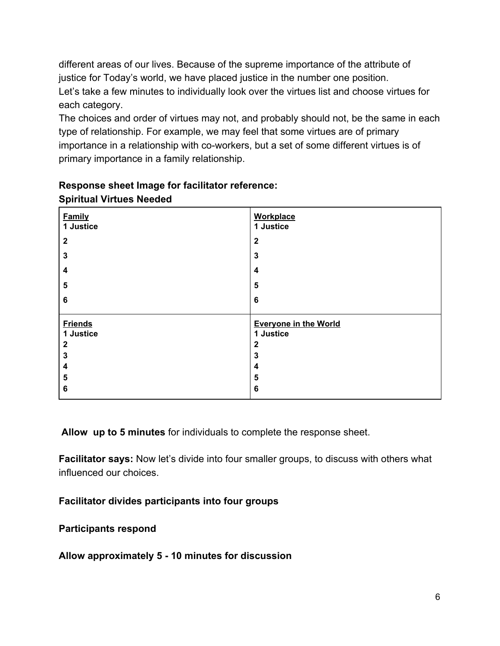different areas of our lives. Because of the supreme importance of the attribute of justice for Today's world, we have placed justice in the number one position. Let's take a few minutes to individually look over the virtues list and choose virtues for each category.

The choices and order of virtues may not, and probably should not, be the same in each type of relationship. For example, we may feel that some virtues are of primary importance in a relationship with co-workers, but a set of some different virtues is of primary importance in a family relationship.

| <b>Family</b><br>1 Justice  | <b>Workplace</b><br>1 Justice             |
|-----------------------------|-------------------------------------------|
| $\mathbf{2}$                | $\mathbf{2}$                              |
| $\mathbf{3}$                | 3                                         |
| 4                           | 4                                         |
| 5                           | 5                                         |
| $6\phantom{1}$              | 6                                         |
| <b>Friends</b><br>1 Justice | <b>Everyone in the World</b><br>1 Justice |
| $\mathbf{2}$                | $\mathbf{2}$                              |
| $\mathbf 3$                 | 3                                         |
| 4                           | 4                                         |
| 5                           | 5                                         |
| 6                           | 6                                         |

#### **Response sheet Image for facilitator reference: Spiritual Virtues Needed**

 **Allow up to 5 minutes** for individuals to complete the response sheet.

**Facilitator says:** Now let's divide into four smaller groups, to discuss with others what influenced our choices.

#### **Facilitator divides participants into four groups**

#### **Participants respond**

#### **Allow approximately 5 - 10 minutes for discussion**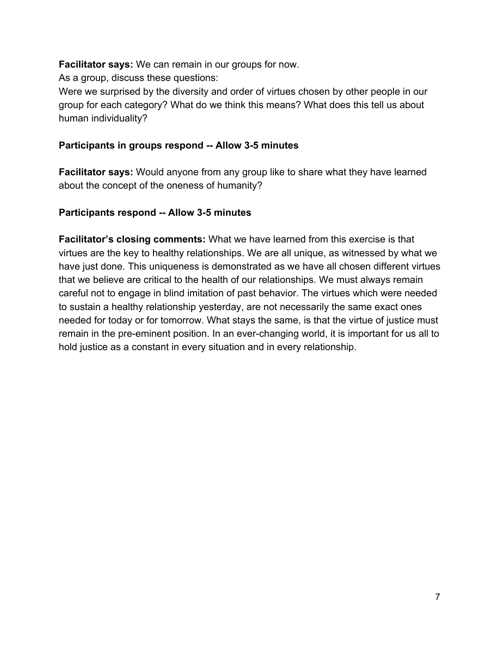**Facilitator says:** We can remain in our groups for now.

As a group, discuss these questions:

Were we surprised by the diversity and order of virtues chosen by other people in our group for each category? What do we think this means? What does this tell us about human individuality?

#### **Participants in groups respond -- Allow 3-5 minutes**

**Facilitator says:** Would anyone from any group like to share what they have learned about the concept of the oneness of humanity?

#### **Participants respond -- Allow 3-5 minutes**

**Facilitator's closing comments:** What we have learned from this exercise is that virtues are the key to healthy relationships. We are all unique, as witnessed by what we have just done. This uniqueness is demonstrated as we have all chosen different virtues that we believe are critical to the health of our relationships. We must always remain careful not to engage in blind imitation of past behavior. The virtues which were needed to sustain a healthy relationship yesterday, are not necessarily the same exact ones needed for today or for tomorrow. What stays the same, is that the virtue of justice must remain in the pre-eminent position. In an ever-changing world, it is important for us all to hold justice as a constant in every situation and in every relationship.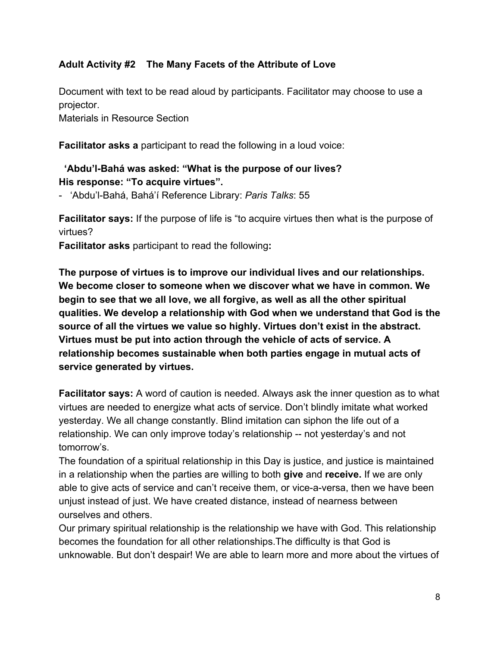#### **Adult Activity #2 The Many Facets of the Attribute of Love**

Document with text to be read aloud by participants. Facilitator may choose to use a projector.

Materials in Resource Section

**Facilitator asks a** participant to read the following in a loud voice:

#### **'Abdu'l-Bahá was asked: "What is the purpose of our lives? His response: "To acquire virtues".**

- 'Abdu'l-Bahá, Bahá'í Reference Library: *Paris Talks*: 55

**Facilitator says:** If the purpose of life is "to acquire virtues then what is the purpose of virtues?

**Facilitator asks** participant to read the following**:**

**The purpose of virtues is to improve our individual lives and our relationships. We become closer to someone when we discover what we have in common. We begin to see that we all love, we all forgive, as well as all the other spiritual qualities. We develop a relationship with God when we understand that God is the source of all the virtues we value so highly. Virtues don't exist in the abstract. Virtues must be put into action through the vehicle of acts of service. A relationship becomes sustainable when both parties engage in mutual acts of service generated by virtues.**

**Facilitator says:** A word of caution is needed. Always ask the inner question as to what virtues are needed to energize what acts of service. Don't blindly imitate what worked yesterday. We all change constantly. Blind imitation can siphon the life out of a relationship. We can only improve today's relationship -- not yesterday's and not tomorrow's.

The foundation of a spiritual relationship in this Day is justice, and justice is maintained in a relationship when the parties are willing to both **give** and **receive.** If we are only able to give acts of service and can't receive them, or vice-a-versa, then we have been unjust instead of just. We have created distance, instead of nearness between ourselves and others.

Our primary spiritual relationship is the relationship we have with God. This relationship becomes the foundation for all other relationships.The difficulty is that God is unknowable. But don't despair! We are able to learn more and more about the virtues of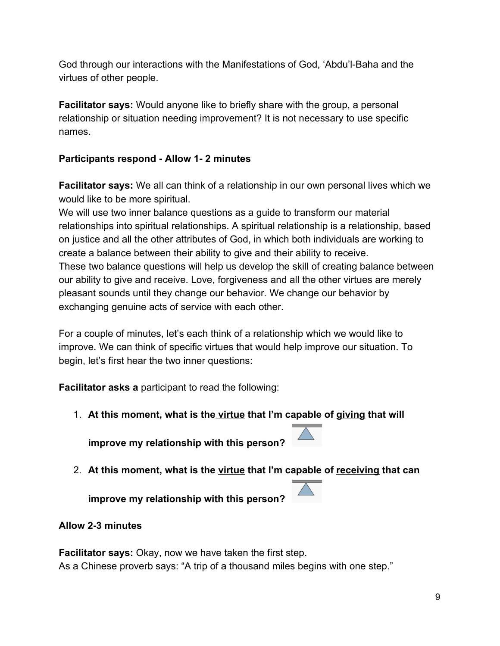God through our interactions with the Manifestations of God, 'Abdu'l-Baha and the virtues of other people.

**Facilitator says:** Would anyone like to briefly share with the group, a personal relationship or situation needing improvement? It is not necessary to use specific names.

#### **Participants respond - Allow 1- 2 minutes**

**Facilitator says:** We all can think of a relationship in our own personal lives which we would like to be more spiritual.

We will use two inner balance questions as a guide to transform our material relationships into spiritual relationships. A spiritual relationship is a relationship, based on justice and all the other attributes of God, in which both individuals are working to create a balance between their ability to give and their ability to receive. These two balance questions will help us develop the skill of creating balance between our ability to give and receive. Love, forgiveness and all the other virtues are merely pleasant sounds until they change our behavior. We change our behavior by exchanging genuine acts of service with each other.

For a couple of minutes, let's each think of a relationship which we would like to improve. We can think of specific virtues that would help improve our situation. To begin, let's first hear the two inner questions:

**Facilitator asks a** participant to read the following:

1. **At this moment, what is the virtue that I'm capable of giving that will**

**improve my relationship with this person?** 

- 
- 2. **At this moment, what is the virtue that I'm capable of receiving that can**

**improve my relationship with this person?** 

#### **Allow 2-3 minutes**

**Facilitator says:** Okay, now we have taken the first step. As a Chinese proverb says: "A trip of a thousand miles begins with one step."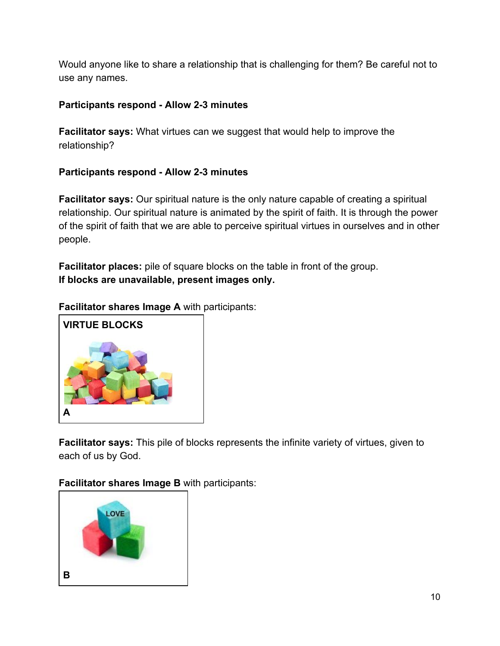Would anyone like to share a relationship that is challenging for them? Be careful not to use any names.

#### **Participants respond - Allow 2-3 minutes**

**Facilitator says:** What virtues can we suggest that would help to improve the relationship?

#### **Participants respond - Allow 2-3 minutes**

**Facilitator says:** Our spiritual nature is the only nature capable of creating a spiritual relationship. Our spiritual nature is animated by the spirit of faith. It is through the power of the spirit of faith that we are able to perceive spiritual virtues in ourselves and in other people.

**Facilitator places:** pile of square blocks on the table in front of the group. **If blocks are unavailable, present images only.**

**Facilitator shares Image A** with participants:



**Facilitator says:** This pile of blocks represents the infinite variety of virtues, given to each of us by God.

**Facilitator shares Image B** with participants:

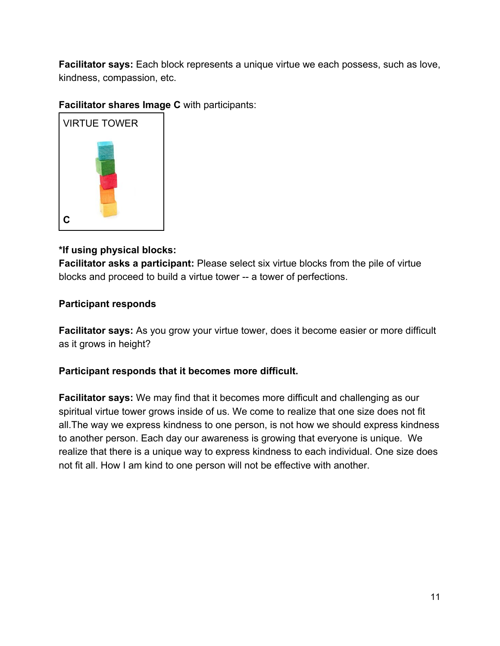**Facilitator says:** Each block represents a unique virtue we each possess, such as love, kindness, compassion, etc.

#### **Facilitator shares Image C** with participants:



#### **\*If using physical blocks:**

**Facilitator asks a participant:** Please select six virtue blocks from the pile of virtue blocks and proceed to build a virtue tower -- a tower of perfections.

#### **Participant responds**

**Facilitator says:** As you grow your virtue tower, does it become easier or more difficult as it grows in height?

#### **Participant responds that it becomes more difficult.**

**Facilitator says:** We may find that it becomes more difficult and challenging as our spiritual virtue tower grows inside of us. We come to realize that one size does not fit all.The way we express kindness to one person, is not how we should express kindness to another person. Each day our awareness is growing that everyone is unique. We realize that there is a unique way to express kindness to each individual. One size does not fit all. How I am kind to one person will not be effective with another.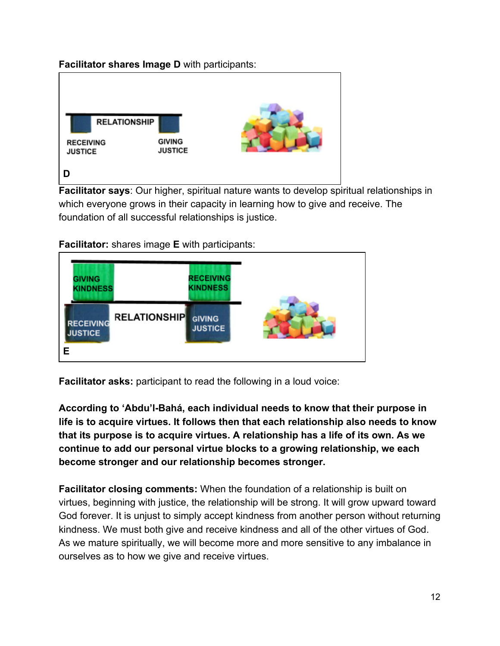#### **Facilitator shares Image D** with participants:



**Facilitator says**: Our higher, spiritual nature wants to develop spiritual relationships in which everyone grows in their capacity in learning how to give and receive. The foundation of all successful relationships is justice.

**Facilitator:** shares image **E** with participants:



**Facilitator asks:** participant to read the following in a loud voice:

**According to 'Abdu'l-Bahá, each individual needs to know that their purpose in life is to acquire virtues. It follows then that each relationship also needs to know that its purpose is to acquire virtues. A relationship has a life of its own. As we continue to add our personal virtue blocks to a growing relationship, we each become stronger and our relationship becomes stronger.**

**Facilitator closing comments:** When the foundation of a relationship is built on virtues, beginning with justice, the relationship will be strong. It will grow upward toward God forever. It is unjust to simply accept kindness from another person without returning kindness. We must both give and receive kindness and all of the other virtues of God. As we mature spiritually, we will become more and more sensitive to any imbalance in ourselves as to how we give and receive virtues.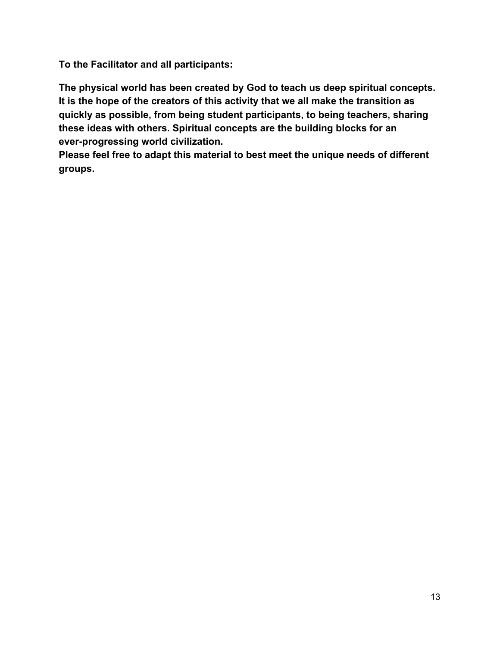**To the Facilitator and all participants:**

**The physical world has been created by God to teach us deep spiritual concepts. It is the hope of the creators of this activity that we all make the transition as quickly as possible, from being student participants, to being teachers, sharing these ideas with others. Spiritual concepts are the building blocks for an ever-progressing world civilization.**

**Please feel free to adapt this material to best meet the unique needs of different groups.**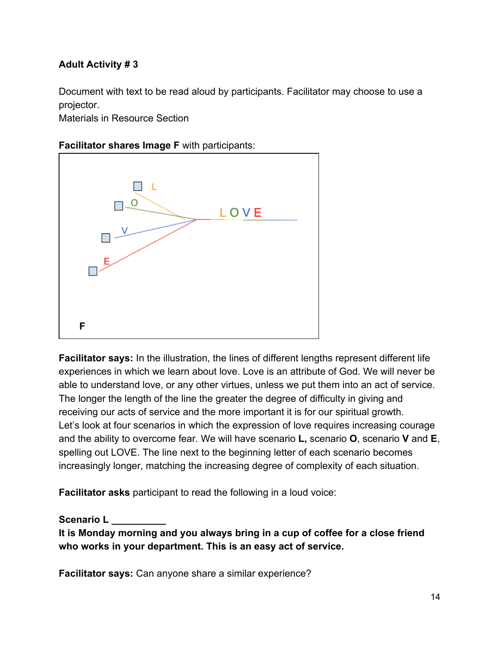#### **Adult Activity # 3**

Document with text to be read aloud by participants. Facilitator may choose to use a projector.

Materials in Resource Section

#### **Facilitator shares Image F** with participants:



**Facilitator says:** In the illustration, the lines of different lengths represent different life experiences in which we learn about love. Love is an attribute of God. We will never be able to understand love, or any other virtues, unless we put them into an act of service. The longer the length of the line the greater the degree of difficulty in giving and receiving our acts of service and the more important it is for our spiritual growth. Let's look at four scenarios in which the expression of love requires increasing courage and the ability to overcome fear. We will have scenario **L,** scenario **O**, scenario **V** and **E**, spelling out LOVE. The line next to the beginning letter of each scenario becomes increasingly longer, matching the increasing degree of complexity of each situation.

**Facilitator asks** participant to read the following in a loud voice:

**Scenario L \_\_\_\_\_\_\_\_\_\_**

**It is Monday morning and you always bring in a cup of coffee for a close friend who works in your department. This is an easy act of service.**

**Facilitator says:** Can anyone share a similar experience?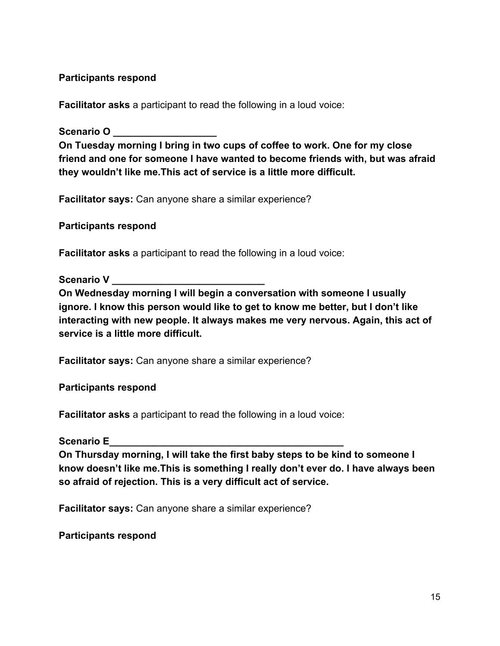#### **Participants respond**

**Facilitator asks** a participant to read the following in a loud voice:

**Scenario O \_\_\_\_\_\_\_\_\_\_\_\_\_\_\_\_\_\_\_**

**On Tuesday morning I bring in two cups of coffee to work. One for my close friend and one for someone I have wanted to become friends with, but was afraid they wouldn't like me.This act of service is a little more difficult.**

**Facilitator says:** Can anyone share a similar experience?

**Participants respond**

**Facilitator asks** a participant to read the following in a loud voice:

Scenario V

**On Wednesday morning I will begin a conversation with someone I usually ignore. I know this person would like to get to know me better, but I don't like interacting with new people. It always makes me very nervous. Again, this act of service is a little more difficult.**

**Facilitator says:** Can anyone share a similar experience?

**Participants respond**

**Facilitator asks** a participant to read the following in a loud voice:

Scenario E

**On Thursday morning, I will take the first baby steps to be kind to someone I know doesn't like me.This is something I really don't ever do. I have always been so afraid of rejection. This is a very difficult act of service.**

**Facilitator says:** Can anyone share a similar experience?

**Participants respond**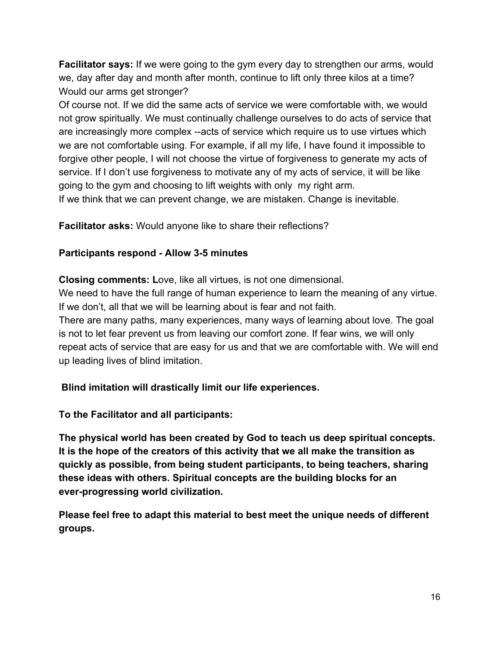**Facilitator says:** If we were going to the gym every day to strengthen our arms, would we, day after day and month after month, continue to lift only three kilos at a time? Would our arms get stronger?

Of course not. If we did the same acts of service we were comfortable with, we would not grow spiritually. We must continually challenge ourselves to do acts of service that are increasingly more complex --acts of service which require us to use virtues which we are not comfortable using. For example, if all my life, I have found it impossible to forgive other people, I will not choose the virtue of forgiveness to generate my acts of service. If I don't use forgiveness to motivate any of my acts of service, it will be like going to the gym and choosing to lift weights with only my right arm.

If we think that we can prevent change, we are mistaken. Change is inevitable.

**Facilitator asks:** Would anyone like to share their reflections?

#### **Participants respond - Allow 3-5 minutes**

**Closing comments: L**ove, like all virtues, is not one dimensional. We need to have the full range of human experience to learn the meaning of any virtue. If we don't, all that we will be learning about is fear and not faith. There are many paths, many experiences, many ways of learning about love. The goal is not to let fear prevent us from leaving our comfort zone. If fear wins, we will only repeat acts of service that are easy for us and that we are comfortable with. We will end up leading lives of blind imitation.

 **Blind imitation will drastically limit our life experiences.**

**To the Facilitator and all participants:**

**The physical world has been created by God to teach us deep spiritual concepts. It is the hope of the creators of this activity that we all make the transition as quickly as possible, from being student participants, to being teachers, sharing these ideas with others. Spiritual concepts are the building blocks for an ever-progressing world civilization.**

**Please feel free to adapt this material to best meet the unique needs of different groups.**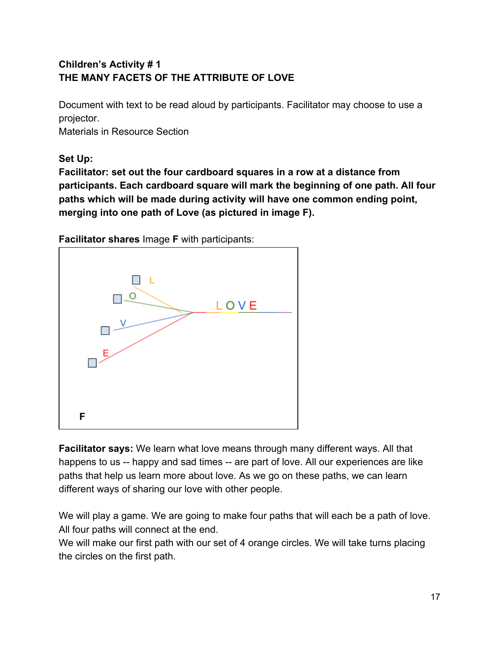#### **Children's Activity # 1 THE MANY FACETS OF THE ATTRIBUTE OF LOVE**

Document with text to be read aloud by participants. Facilitator may choose to use a projector.

Materials in Resource Section

#### **Set Up:**

**Facilitator: set out the four cardboard squares in a row at a distance from participants. Each cardboard square will mark the beginning of one path. All four paths which will be made during activity will have one common ending point, merging into one path of Love (as pictured in image F).**



**Facilitator shares** Image **F** with participants:

**Facilitator says:** We learn what love means through many different ways. All that happens to us -- happy and sad times -- are part of love. All our experiences are like paths that help us learn more about love. As we go on these paths, we can learn different ways of sharing our love with other people.

We will play a game. We are going to make four paths that will each be a path of love. All four paths will connect at the end.

We will make our first path with our set of 4 orange circles. We will take turns placing the circles on the first path.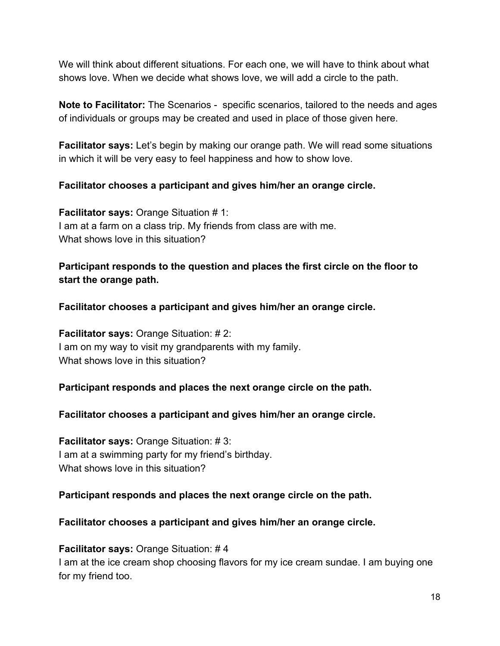We will think about different situations. For each one, we will have to think about what shows love. When we decide what shows love, we will add a circle to the path.

**Note to Facilitator:** The Scenarios - specific scenarios, tailored to the needs and ages of individuals or groups may be created and used in place of those given here.

**Facilitator says:** Let's begin by making our orange path. We will read some situations in which it will be very easy to feel happiness and how to show love.

#### **Facilitator chooses a participant and gives him/her an orange circle.**

**Facilitator says:** Orange Situation # 1: I am at a farm on a class trip. My friends from class are with me. What shows love in this situation?

#### **Participant responds to the question and places the first circle on the floor to start the orange path.**

**Facilitator chooses a participant and gives him/her an orange circle.**

**Facilitator says:** Orange Situation: # 2: I am on my way to visit my grandparents with my family. What shows love in this situation?

#### **Participant responds and places the next orange circle on the path.**

#### **Facilitator chooses a participant and gives him/her an orange circle.**

**Facilitator says:** Orange Situation: # 3: I am at a swimming party for my friend's birthday. What shows love in this situation?

#### **Participant responds and places the next orange circle on the path.**

#### **Facilitator chooses a participant and gives him/her an orange circle.**

#### **Facilitator says:** Orange Situation: # 4

I am at the ice cream shop choosing flavors for my ice cream sundae. I am buying one for my friend too.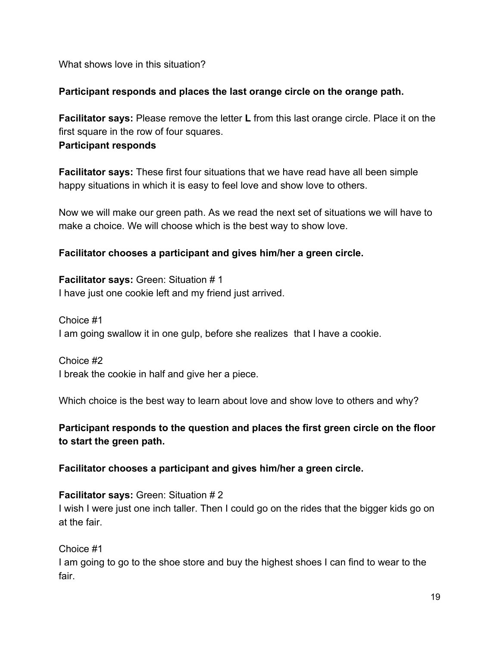What shows love in this situation?

#### **Participant responds and places the last orange circle on the orange path.**

**Facilitator says:** Please remove the letter **L** from this last orange circle. Place it on the first square in the row of four squares. **Participant responds**

**Facilitator says:** These first four situations that we have read have all been simple happy situations in which it is easy to feel love and show love to others.

Now we will make our green path. As we read the next set of situations we will have to make a choice. We will choose which is the best way to show love.

#### **Facilitator chooses a participant and gives him/her a green circle.**

**Facilitator says:** Green: Situation # 1 I have just one cookie left and my friend just arrived.

Choice #1 I am going swallow it in one gulp, before she realizes that I have a cookie.

Choice #2 I break the cookie in half and give her a piece.

Which choice is the best way to learn about love and show love to others and why?

**Participant responds to the question and places the first green circle on the floor to start the green path.**

**Facilitator chooses a participant and gives him/her a green circle.**

**Facilitator says:** Green: Situation # 2 I wish I were just one inch taller. Then I could go on the rides that the bigger kids go on at the fair.

Choice #1 I am going to go to the shoe store and buy the highest shoes I can find to wear to the fair.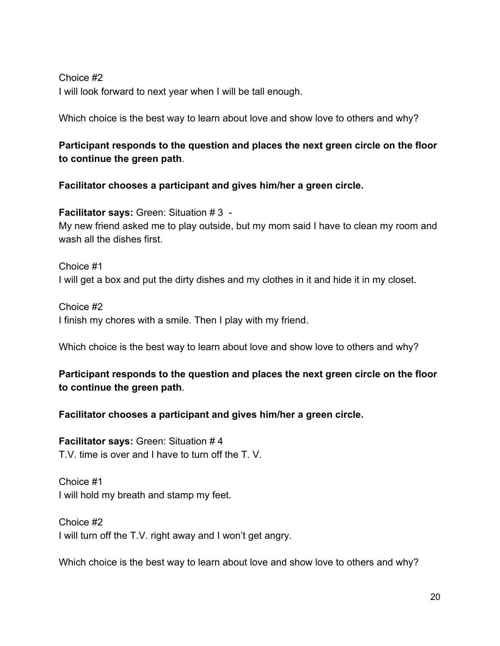#### Choice #2 I will look forward to next year when I will be tall enough.

Which choice is the best way to learn about love and show love to others and why?

#### **Participant responds to the question and places the next green circle on the floor to continue the green path**.

**Facilitator chooses a participant and gives him/her a green circle.**

**Facilitator says:** Green: Situation # 3 - My new friend asked me to play outside, but my mom said I have to clean my room and wash all the dishes first.

Choice #1 I will get a box and put the dirty dishes and my clothes in it and hide it in my closet.

Choice #2 I finish my chores with a smile. Then I play with my friend.

Which choice is the best way to learn about love and show love to others and why?

#### **Participant responds to the question and places the next green circle on the floor to continue the green path**.

#### **Facilitator chooses a participant and gives him/her a green circle.**

**Facilitator says:** Green: Situation # 4 T.V. time is over and I have to turn off the T. V.

Choice #1 I will hold my breath and stamp my feet.

Choice #2 I will turn off the T.V. right away and I won't get angry.

Which choice is the best way to learn about love and show love to others and why?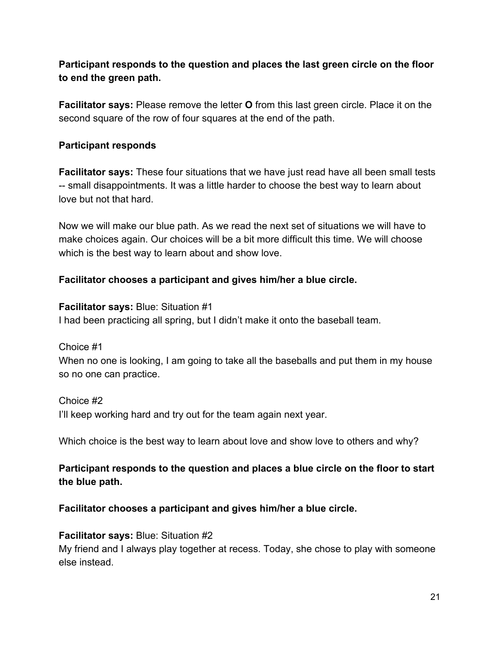**Participant responds to the question and places the last green circle on the floor to end the green path.**

**Facilitator says:** Please remove the letter **O** from this last green circle. Place it on the second square of the row of four squares at the end of the path.

#### **Participant responds**

**Facilitator says:** These four situations that we have just read have all been small tests -- small disappointments. It was a little harder to choose the best way to learn about love but not that hard.

Now we will make our blue path. As we read the next set of situations we will have to make choices again. Our choices will be a bit more difficult this time. We will choose which is the best way to learn about and show love.

#### **Facilitator chooses a participant and gives him/her a blue circle.**

**Facilitator says:** Blue: Situation #1 I had been practicing all spring, but I didn't make it onto the baseball team.

Choice #1 When no one is looking, I am going to take all the baseballs and put them in my house so no one can practice.

Choice #2 I'll keep working hard and try out for the team again next year.

Which choice is the best way to learn about love and show love to others and why?

#### **Participant responds to the question and places a blue circle on the floor to start the blue path.**

#### **Facilitator chooses a participant and gives him/her a blue circle.**

# **Facilitator says:** Blue: Situation #2

My friend and I always play together at recess. Today, she chose to play with someone else instead.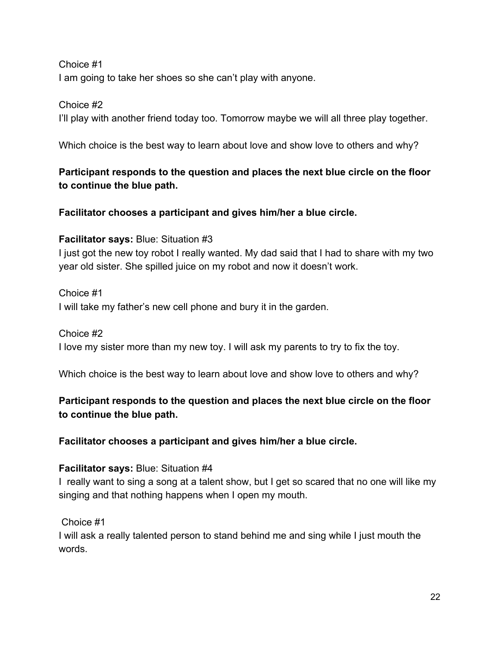#### Choice #1

I am going to take her shoes so she can't play with anyone.

#### Choice #2

I'll play with another friend today too. Tomorrow maybe we will all three play together.

Which choice is the best way to learn about love and show love to others and why?

#### **Participant responds to the question and places the next blue circle on the floor to continue the blue path.**

#### **Facilitator chooses a participant and gives him/her a blue circle.**

#### **Facilitator says:** Blue: Situation #3

I just got the new toy robot I really wanted. My dad said that I had to share with my two year old sister. She spilled juice on my robot and now it doesn't work.

#### Choice #1

I will take my father's new cell phone and bury it in the garden.

#### Choice #2

I love my sister more than my new toy. I will ask my parents to try to fix the toy.

Which choice is the best way to learn about love and show love to others and why?

#### **Participant responds to the question and places the next blue circle on the floor to continue the blue path.**

#### **Facilitator chooses a participant and gives him/her a blue circle.**

#### **Facilitator says:** Blue: Situation #4

I really want to sing a song at a talent show, but I get so scared that no one will like my singing and that nothing happens when I open my mouth.

#### Choice #1

I will ask a really talented person to stand behind me and sing while I just mouth the words.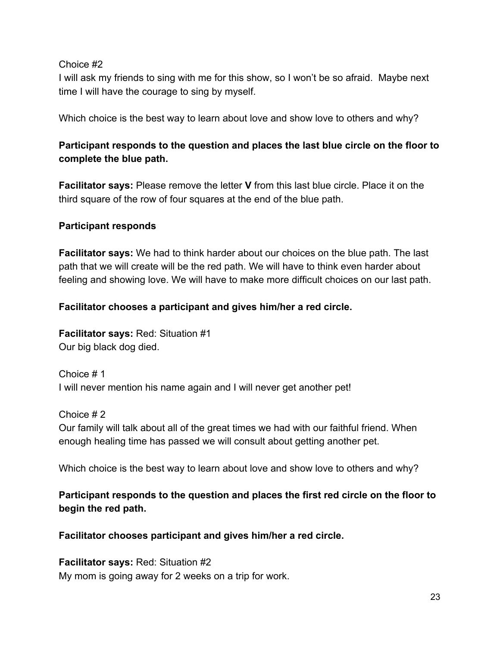#### Choice #2

I will ask my friends to sing with me for this show, so I won't be so afraid. Maybe next time I will have the courage to sing by myself.

Which choice is the best way to learn about love and show love to others and why?

#### **Participant responds to the question and places the last blue circle on the floor to complete the blue path.**

**Facilitator says:** Please remove the letter **V** from this last blue circle. Place it on the third square of the row of four squares at the end of the blue path.

#### **Participant responds**

**Facilitator says:** We had to think harder about our choices on the blue path. The last path that we will create will be the red path. We will have to think even harder about feeling and showing love. We will have to make more difficult choices on our last path.

#### **Facilitator chooses a participant and gives him/her a red circle.**

**Facilitator says:** Red: Situation #1 Our big black dog died.

Choice # 1 I will never mention his name again and I will never get another pet!

Choice # 2 Our family will talk about all of the great times we had with our faithful friend. When enough healing time has passed we will consult about getting another pet.

Which choice is the best way to learn about love and show love to others and why?

#### **Participant responds to the question and places the first red circle on the floor to begin the red path.**

**Facilitator chooses participant and gives him/her a red circle.**

**Facilitator says:** Red: Situation #2 My mom is going away for 2 weeks on a trip for work.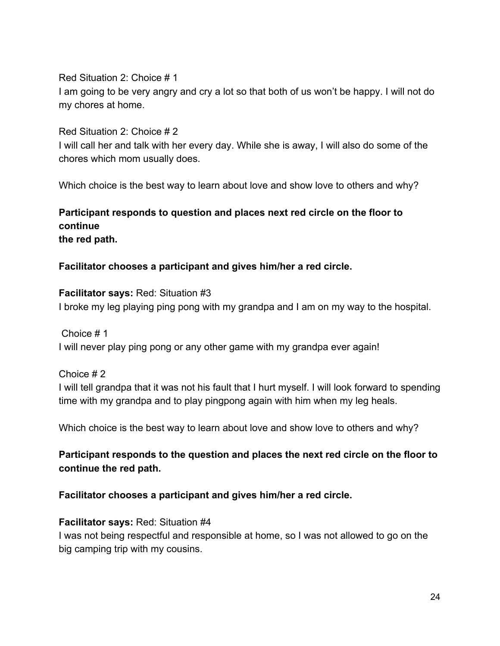Red Situation 2: Choice # 1 I am going to be very angry and cry a lot so that both of us won't be happy. I will not do my chores at home.

Red Situation 2: Choice # 2

I will call her and talk with her every day. While she is away, I will also do some of the chores which mom usually does.

Which choice is the best way to learn about love and show love to others and why?

**Participant responds to question and places next red circle on the floor to continue the red path.**

**Facilitator chooses a participant and gives him/her a red circle.**

**Facilitator says:** Red: Situation #3 I broke my leg playing ping pong with my grandpa and I am on my way to the hospital.

 Choice # 1 I will never play ping pong or any other game with my grandpa ever again!

Choice # 2 I will tell grandpa that it was not his fault that I hurt myself. I will look forward to spending time with my grandpa and to play pingpong again with him when my leg heals.

Which choice is the best way to learn about love and show love to others and why?

**Participant responds to the question and places the next red circle on the floor to continue the red path.**

**Facilitator chooses a participant and gives him/her a red circle.**

#### **Facilitator says:** Red: Situation #4

I was not being respectful and responsible at home, so I was not allowed to go on the big camping trip with my cousins.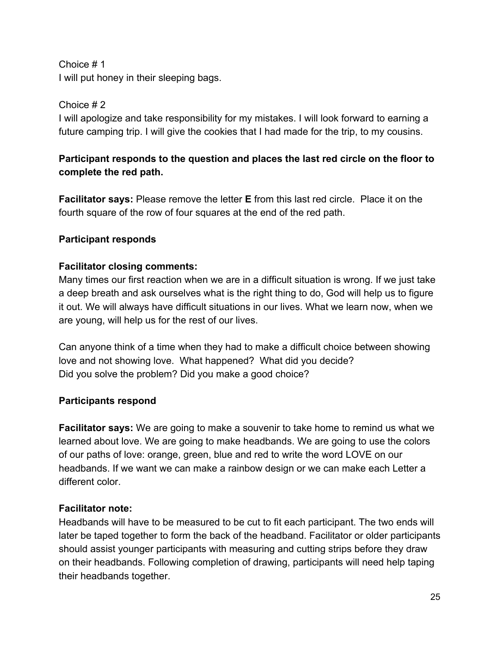Choice # 1

I will put honey in their sleeping bags.

#### Choice # 2

I will apologize and take responsibility for my mistakes. I will look forward to earning a future camping trip. I will give the cookies that I had made for the trip, to my cousins.

#### **Participant responds to the question and places the last red circle on the floor to complete the red path.**

**Facilitator says:** Please remove the letter **E** from this last red circle. Place it on the fourth square of the row of four squares at the end of the red path.

#### **Participant responds**

#### **Facilitator closing comments:**

Many times our first reaction when we are in a difficult situation is wrong. If we just take a deep breath and ask ourselves what is the right thing to do, God will help us to figure it out. We will always have difficult situations in our lives. What we learn now, when we are young, will help us for the rest of our lives.

Can anyone think of a time when they had to make a difficult choice between showing love and not showing love. What happened? What did you decide? Did you solve the problem? Did you make a good choice?

#### **Participants respond**

**Facilitator says:** We are going to make a souvenir to take home to remind us what we learned about love. We are going to make headbands. We are going to use the colors of our paths of love: orange, green, blue and red to write the word LOVE on our headbands. If we want we can make a rainbow design or we can make each Letter a different color.

#### **Facilitator note:**

Headbands will have to be measured to be cut to fit each participant. The two ends will later be taped together to form the back of the headband. Facilitator or older participants should assist younger participants with measuring and cutting strips before they draw on their headbands. Following completion of drawing, participants will need help taping their headbands together.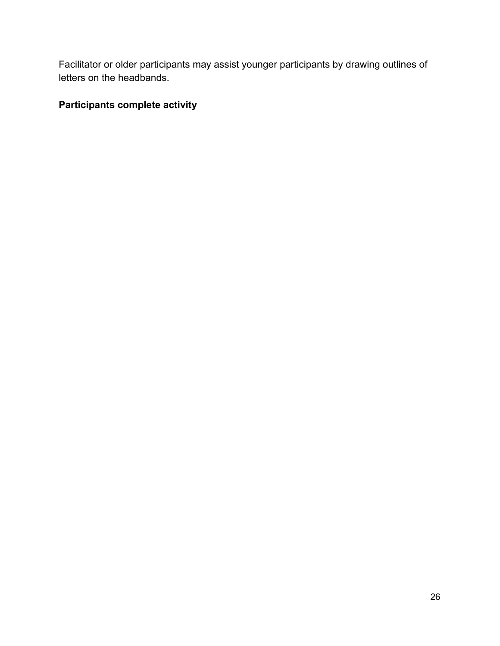Facilitator or older participants may assist younger participants by drawing outlines of letters on the headbands.

#### **Participants complete activity**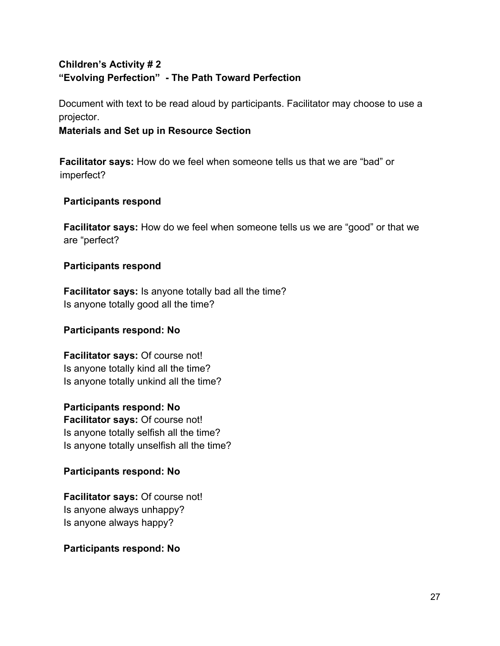#### **Children's Activity # 2 "Evolving Perfection" - The Path Toward Perfection**

Document with text to be read aloud by participants. Facilitator may choose to use a projector.

#### **Materials and Set up in Resource Section**

**Facilitator says:** How do we feel when someone tells us that we are "bad" or imperfect?

#### **Participants respond**

**Facilitator says:** How do we feel when someone tells us we are "good" or that we are "perfect?

#### **Participants respond**

**Facilitator says:** Is anyone totally bad all the time? Is anyone totally good all the time?

#### **Participants respond: No**

**Facilitator says:** Of course not! Is anyone totally kind all the time? Is anyone totally unkind all the time?

**Participants respond: No Facilitator says:** Of course not! Is anyone totally selfish all the time? Is anyone totally unselfish all the time?

#### **Participants respond: No**

**Facilitator says:** Of course not! Is anyone always unhappy? Is anyone always happy?

#### **Participants respond: No**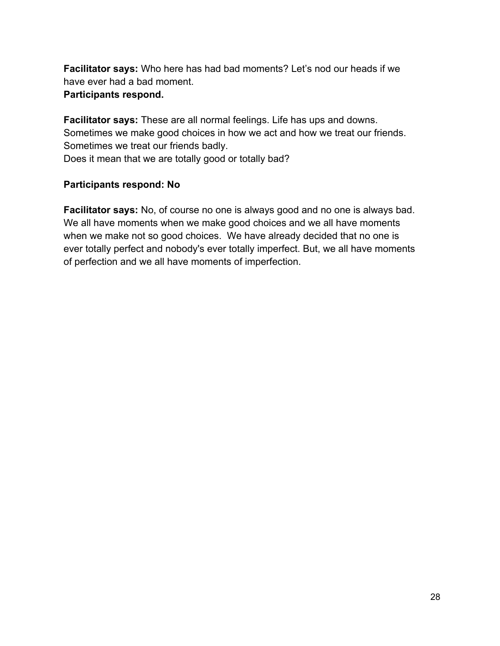**Facilitator says:** Who here has had bad moments? Let's nod our heads if we have ever had a bad moment.

#### **Participants respond.**

**Facilitator says:** These are all normal feelings. Life has ups and downs. Sometimes we make good choices in how we act and how we treat our friends. Sometimes we treat our friends badly. Does it mean that we are totally good or totally bad?

#### **Participants respond: No**

**Facilitator says:** No, of course no one is always good and no one is always bad. We all have moments when we make good choices and we all have moments when we make not so good choices. We have already decided that no one is ever totally perfect and nobody's ever totally imperfect. But, we all have moments of perfection and we all have moments of imperfection.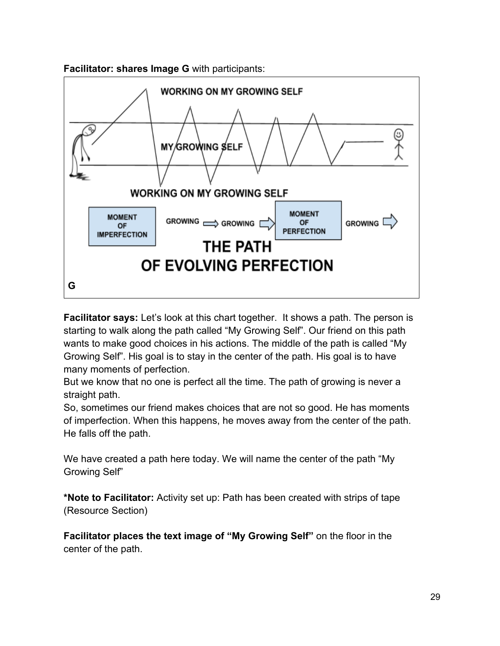



**Facilitator says:** Let's look at this chart together. It shows a path. The person is starting to walk along the path called "My Growing Self". Our friend on this path wants to make good choices in his actions. The middle of the path is called "My Growing Self". His goal is to stay in the center of the path. His goal is to have many moments of perfection.

But we know that no one is perfect all the time. The path of growing is never a straight path.

So, sometimes our friend makes choices that are not so good. He has moments of imperfection. When this happens, he moves away from the center of the path. He falls off the path.

We have created a path here today. We will name the center of the path "My Growing Self"

**\*Note to Facilitator:** Activity set up: Path has been created with strips of tape (Resource Section)

**Facilitator places the text image of "My Growing Self"** on the floor in the center of the path.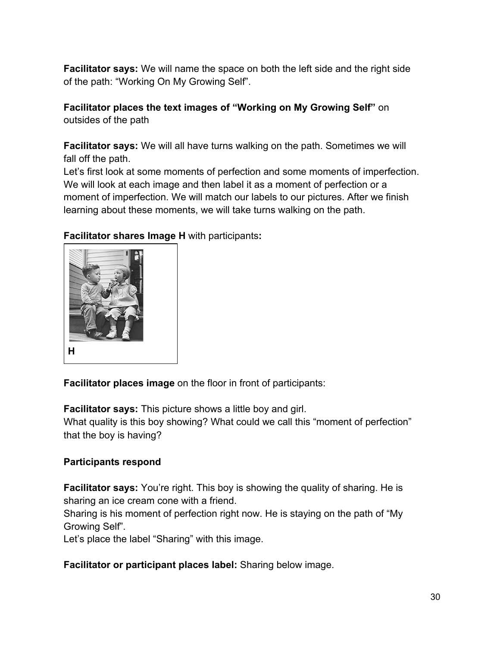**Facilitator says:** We will name the space on both the left side and the right side of the path: "Working On My Growing Self".

**Facilitator places the text images of "Working on My Growing Self"** on outsides of the path

**Facilitator says:** We will all have turns walking on the path. Sometimes we will fall off the path.

Let's first look at some moments of perfection and some moments of imperfection. We will look at each image and then label it as a moment of perfection or a moment of imperfection. We will match our labels to our pictures. After we finish learning about these moments, we will take turns walking on the path.



**Facilitator shares Image H** with participants**:**

**Facilitator places image** on the floor in front of participants:

**Facilitator says:** This picture shows a little boy and girl.

What quality is this boy showing? What could we call this "moment of perfection" that the boy is having?

#### **Participants respond**

**Facilitator says:** You're right. This boy is showing the quality of sharing. He is sharing an ice cream cone with a friend.

Sharing is his moment of perfection right now. He is staying on the path of "My Growing Self".

Let's place the label "Sharing" with this image.

**Facilitator or participant places label:** Sharing below image.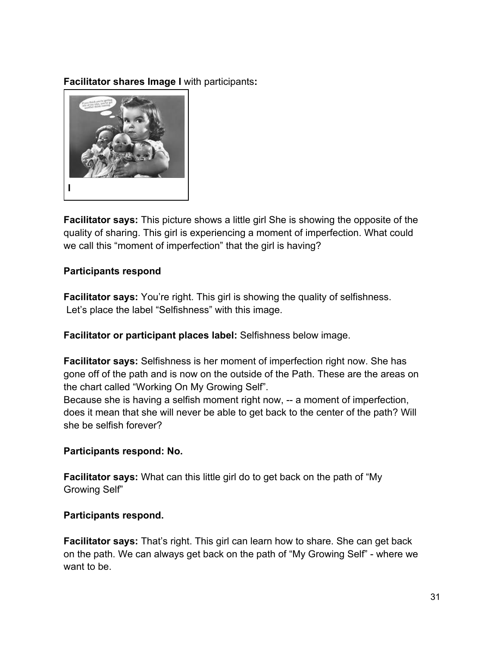**Facilitator shares Image I** with participants**:**



**Facilitator says:** This picture shows a little girl She is showing the opposite of the quality of sharing. This girl is experiencing a moment of imperfection. What could we call this "moment of imperfection" that the girl is having?

#### **Participants respond**

**Facilitator says:** You're right. This girl is showing the quality of selfishness. Let's place the label "Selfishness" with this image.

**Facilitator or participant places label:** Selfishness below image.

**Facilitator says:** Selfishness is her moment of imperfection right now. She has gone off of the path and is now on the outside of the Path. These are the areas on the chart called "Working On My Growing Self".

Because she is having a selfish moment right now, -- a moment of imperfection, does it mean that she will never be able to get back to the center of the path? Will she be selfish forever?

#### **Participants respond: No.**

**Facilitator says:** What can this little girl do to get back on the path of "My Growing Self"

#### **Participants respond.**

**Facilitator says:** That's right. This girl can learn how to share. She can get back on the path. We can always get back on the path of "My Growing Self" - where we want to be.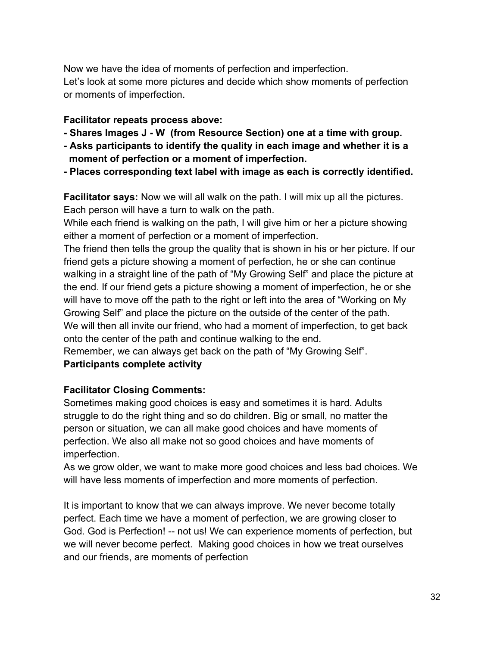Now we have the idea of moments of perfection and imperfection. Let's look at some more pictures and decide which show moments of perfection or moments of imperfection.

#### **Facilitator repeats process above:**

- **Shares Images J W (from Resource Section) one at a time with group.**
- **Asks participants to identify the quality in each image and whether it is a moment of perfection or a moment of imperfection.**
- **Places corresponding text label with image as each is correctly identified.**

**Facilitator says:** Now we will all walk on the path. I will mix up all the pictures. Each person will have a turn to walk on the path.

While each friend is walking on the path, I will give him or her a picture showing either a moment of perfection or a moment of imperfection.

The friend then tells the group the quality that is shown in his or her picture. If our friend gets a picture showing a moment of perfection, he or she can continue walking in a straight line of the path of "My Growing Self" and place the picture at the end. If our friend gets a picture showing a moment of imperfection, he or she will have to move off the path to the right or left into the area of "Working on My Growing Self" and place the picture on the outside of the center of the path. We will then all invite our friend, who had a moment of imperfection, to get back onto the center of the path and continue walking to the end.

Remember, we can always get back on the path of "My Growing Self".

#### **Participants complete activity**

#### **Facilitator Closing Comments:**

Sometimes making good choices is easy and sometimes it is hard. Adults struggle to do the right thing and so do children. Big or small, no matter the person or situation, we can all make good choices and have moments of perfection. We also all make not so good choices and have moments of imperfection.

As we grow older, we want to make more good choices and less bad choices. We will have less moments of imperfection and more moments of perfection.

It is important to know that we can always improve. We never become totally perfect. Each time we have a moment of perfection, we are growing closer to God. God is Perfection! -- not us! We can experience moments of perfection, but we will never become perfect. Making good choices in how we treat ourselves and our friends, are moments of perfection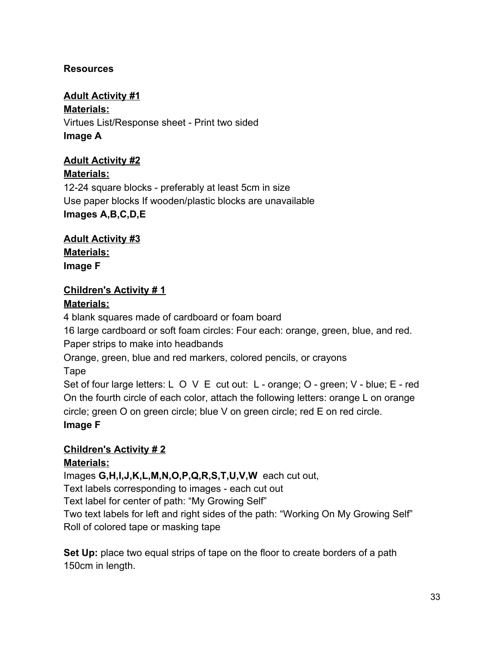#### **Resources**

**Adult Activity #1 Materials:** Virtues List/Response sheet - Print two sided **Image A**

#### **Adult Activity #2**

**Materials:** 12-24 square blocks - preferably at least 5cm in size Use paper blocks If wooden/plastic blocks are unavailable **Images A,B,C,D,E**

**Adult Activity #3 Materials: Image F**

#### **Children's Activity # 1**

#### **Materials:**

4 blank squares made of cardboard or foam board

16 large cardboard or soft foam circles: Four each: orange, green, blue, and red.

Paper strips to make into headbands

Orange, green, blue and red markers, colored pencils, or crayons

Tape

Set of four large letters: L O V E cut out: L - orange; O - green; V - blue; E - red On the fourth circle of each color, attach the following letters: orange L on orange circle; green O on green circle; blue V on green circle; red E on red circle.

**Image F**

#### **Children's Activity # 2**

#### **Materials:**

Images **G,H,I,J,K,L,M,N,O,P,Q,R,S,T,U,V,W** each cut out, Text labels corresponding to images - each cut out Text label for center of path: "My Growing Self" Two text labels for left and right sides of the path: "Working On My Growing Self"

Roll of colored tape or masking tape

**Set Up:** place two equal strips of tape on the floor to create borders of a path 150cm in length.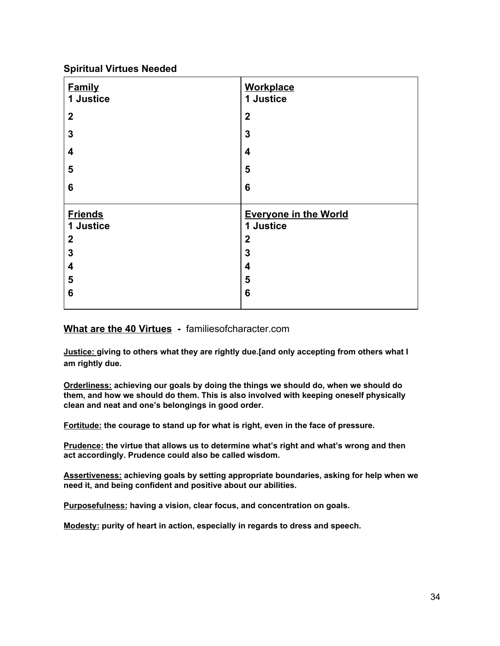#### **Spiritual Virtues Needed**

| <b>Family</b><br>1 Justice | <b>Workplace</b><br>1 Justice |
|----------------------------|-------------------------------|
| $\boldsymbol{2}$           | $\mathbf 2$                   |
| 3                          | 3                             |
| 4                          | 4                             |
| 5                          | 5                             |
| 6                          | 6                             |
|                            |                               |
|                            |                               |
| <b>Friends</b>             | <b>Everyone in the World</b>  |
| 1 Justice                  | 1 Justice                     |
| $\boldsymbol{2}$           | $\boldsymbol{2}$              |
| 3                          | 3                             |
| 4                          | $\overline{\mathbf{4}}$       |
| 5                          | 5                             |
| 6                          | 6                             |

#### **Wha[t are the 40 Virtues](https://www.familiesofcharacter.com/devblog10809/2018/3/21/what-are-the-40-virtues-full-list) -** familiesofcharacter.com

**Justice: giving to others what they are rightly due.[and only accepting from others what I am rightly due.**

**Orderliness: achieving our goals by doing the things we should do, when we should do them, and how we should do them. This is also involved with keeping oneself physically clean and neat and one's belongings in good order.**

**Fortitude: the courage to stand up for what is right, even in the face of pressure.**

**Prudence: the virtue that allows us to determine what's right and what's wrong and then act accordingly. Prudence could also be called wisdom.**

**Assertiveness: achieving goals by setting appropriate boundaries, asking for help when we need it, and being confident and positive about our abilities.**

**Purposefulness: having a vision, clear focus, and concentration on goals.**

**Modesty: purity of heart in action, especially in regards to dress and speech.**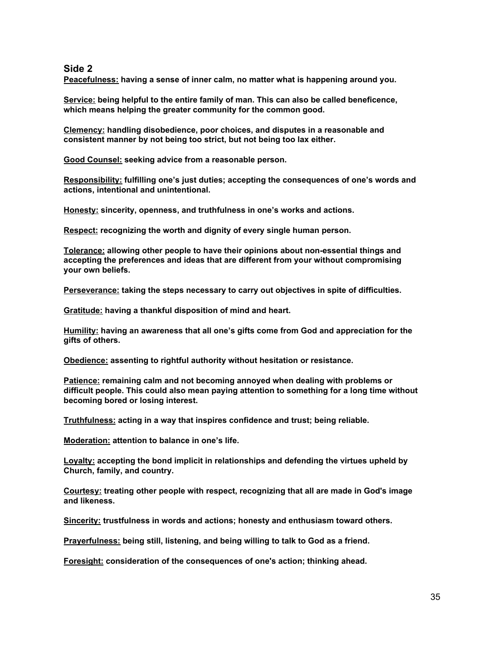#### **Side 2**

**Peacefulness: having a sense of inner calm, no matter what is happening around you.**

**Service: being helpful to the entire family of man. This can also be called beneficence, which means helping the greater community for the common good.**

**Clemency: handling disobedience, poor choices, and disputes in a reasonable and consistent manner by not being too strict, but not being too lax either.**

**Good Counsel: seeking advice from a reasonable person.**

**Responsibility: fulfilling one's just duties; accepting the consequences of one's words and actions, intentional and unintentional.**

**Honesty: sincerity, openness, and truthfulness in one's works and actions.**

**Respect: recognizing the worth and dignity of every single human person.**

**Tolerance: allowing other people to have their opinions about non-essential things and accepting the preferences and ideas that are different from your without compromising your own beliefs.**

**Perseverance: taking the steps necessary to carry out objectives in spite of difficulties.**

**Gratitude: having a thankful disposition of mind and heart.**

**Humility: having an awareness that all one's gifts come from God and appreciation for the gifts of others.**

**Obedience: assenting to rightful authority without hesitation or resistance.**

**Patience: remaining calm and not becoming annoyed when dealing with problems or difficult people. This could also mean paying attention to something for a long time without becoming bored or losing interest.**

**Truthfulness: acting in a way that inspires confidence and trust; being reliable.**

**Moderation: attention to balance in one's life.**

**Loyalty: accepting the bond implicit in relationships and defending the virtues upheld by Church, family, and country.**

**Courtesy: treating other people with respect, recognizing that all are made in God's image and likeness.**

**Sincerity: trustfulness in words and actions; honesty and enthusiasm toward others.**

**Prayerfulness: being still, listening, and being willing to talk to God as a friend.**

**Foresight: consideration of the consequences of one's action; thinking ahead.**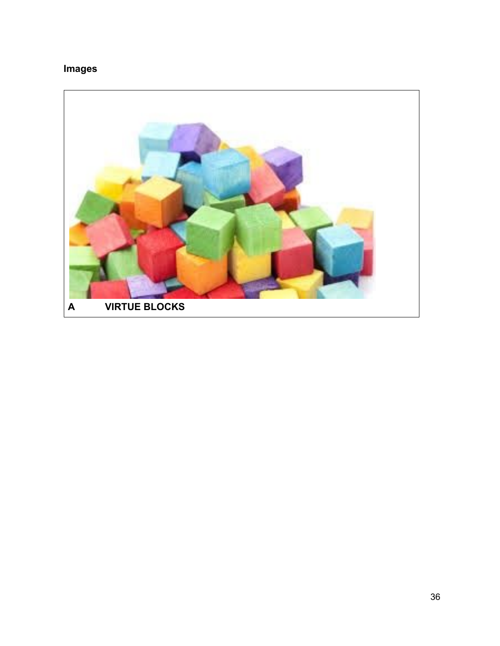#### **Images**

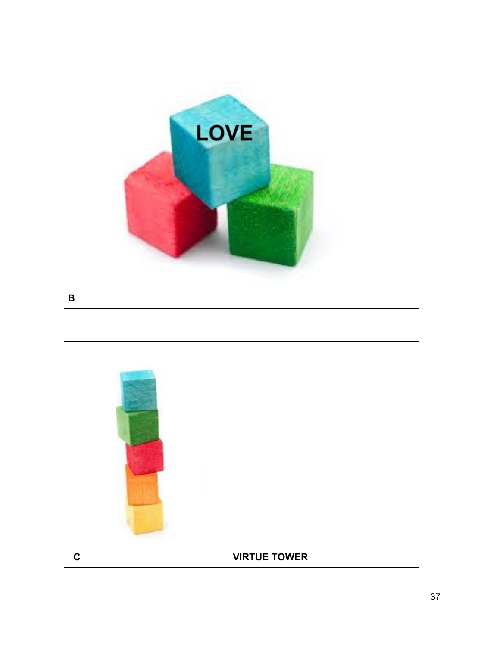

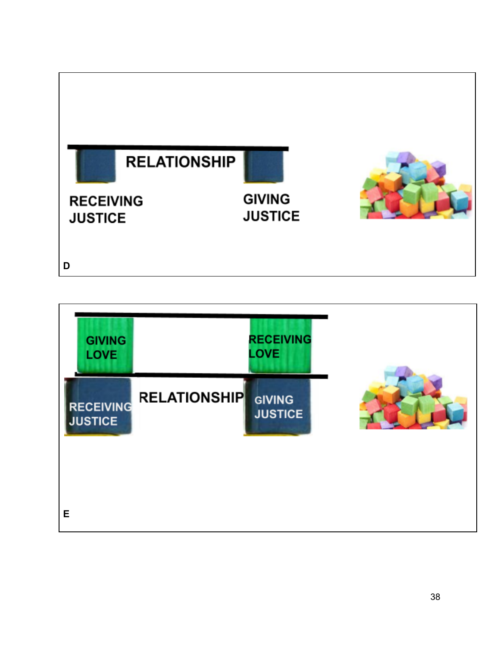

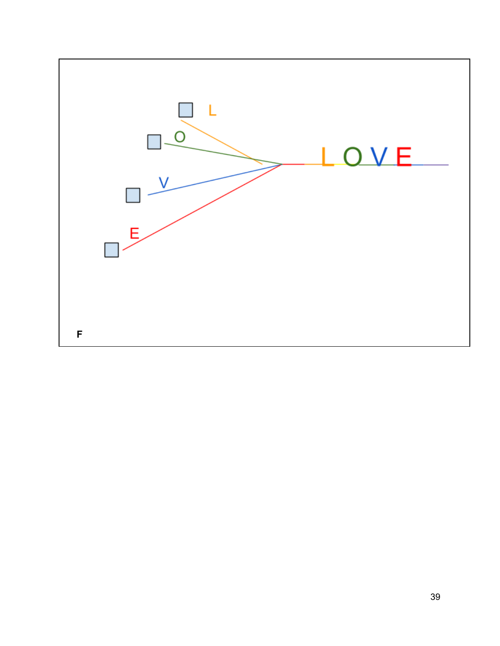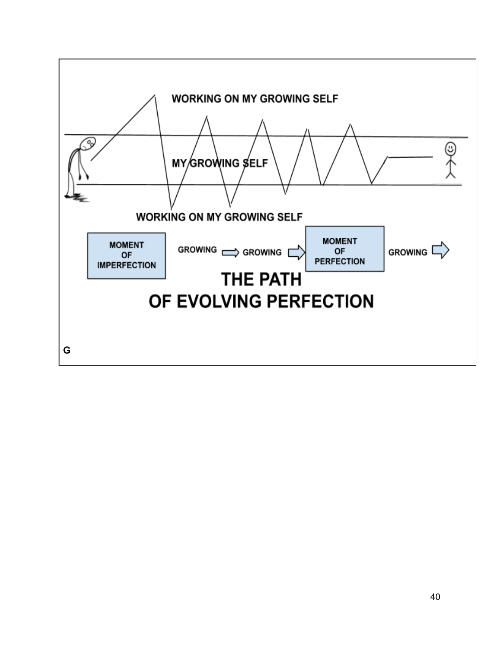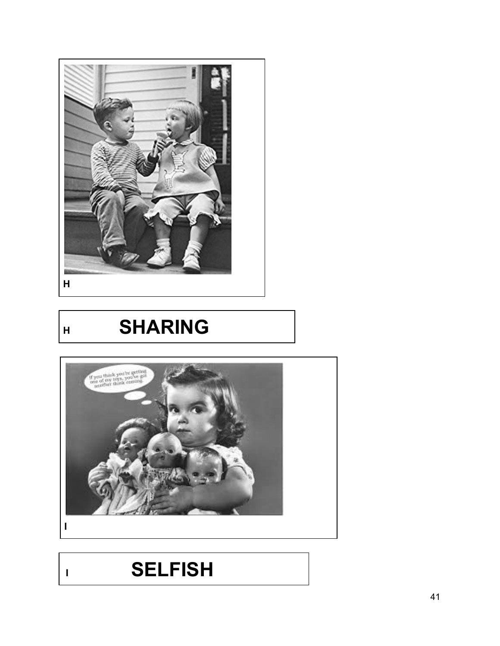

**HSHARING** 



**<sup>I</sup>SELFISH**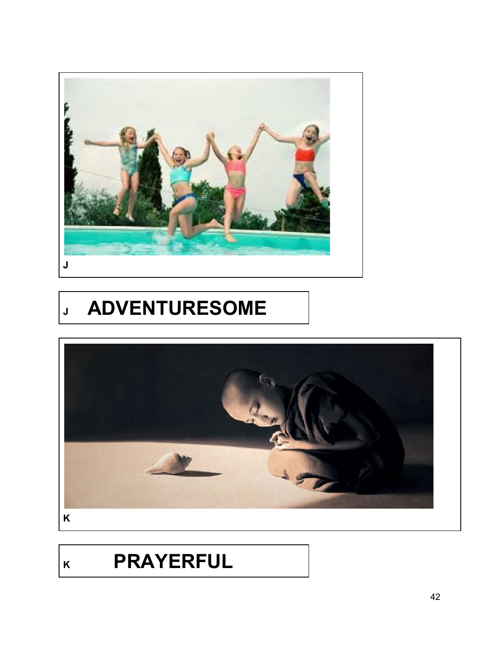

# **<sup>J</sup>ADVENTURESOME**



## **<sup>K</sup>PRAYERFUL**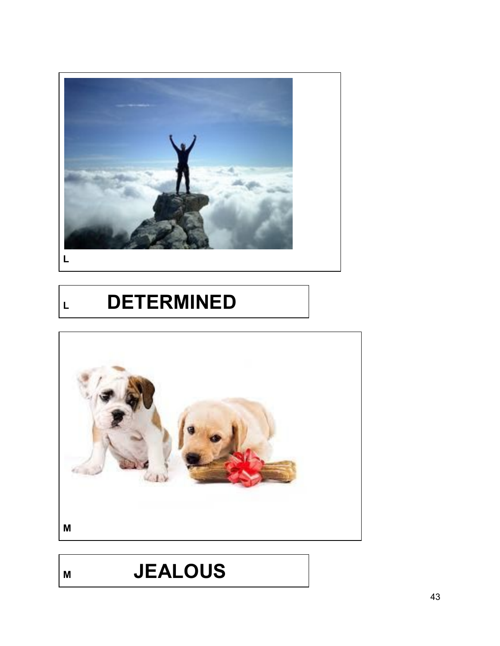

# **<sup>L</sup>DETERMINED**



# **<sup>M</sup>JEALOUS**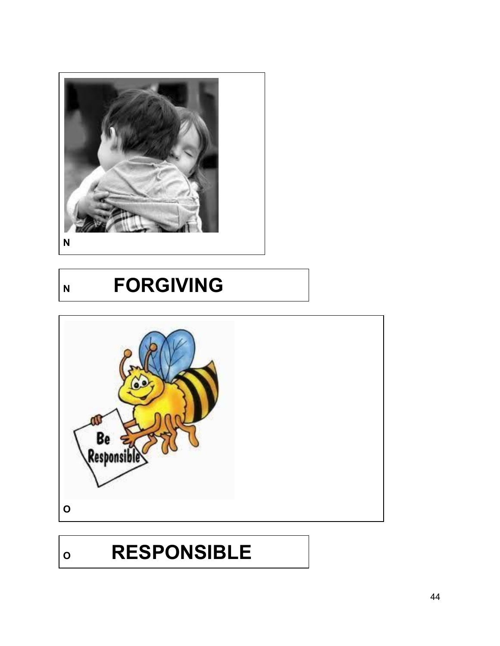

### **NFORGIVING**



## **<sup>O</sup>RESPONSIBLE**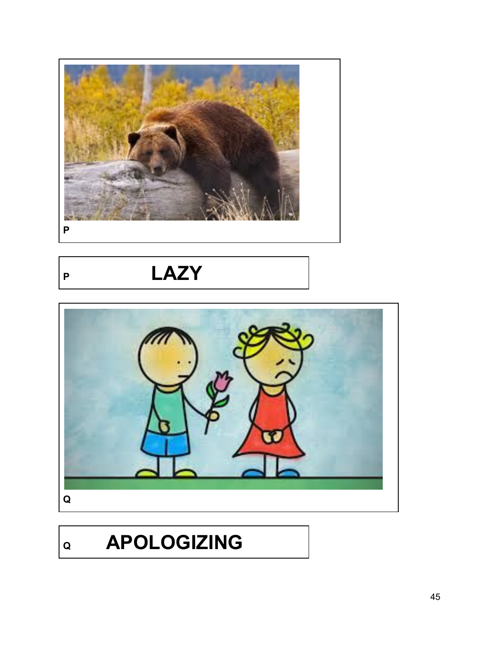

**<sup>P</sup>LAZY**



# **<sup>Q</sup>APOLOGIZING**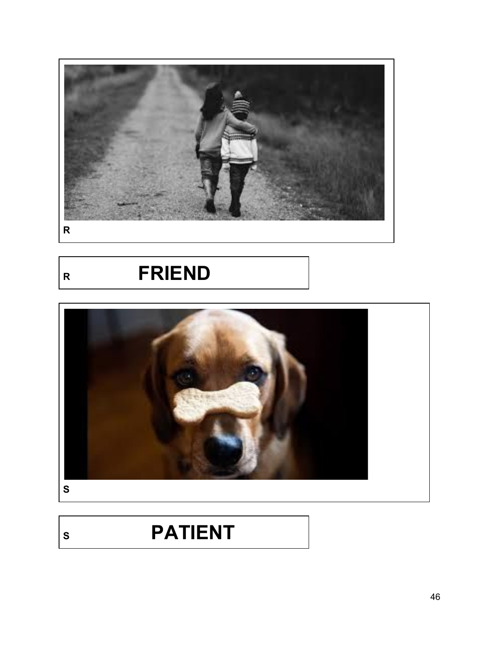

**<sup>R</sup>FRIEND**



# **<sup>S</sup>PATIENT**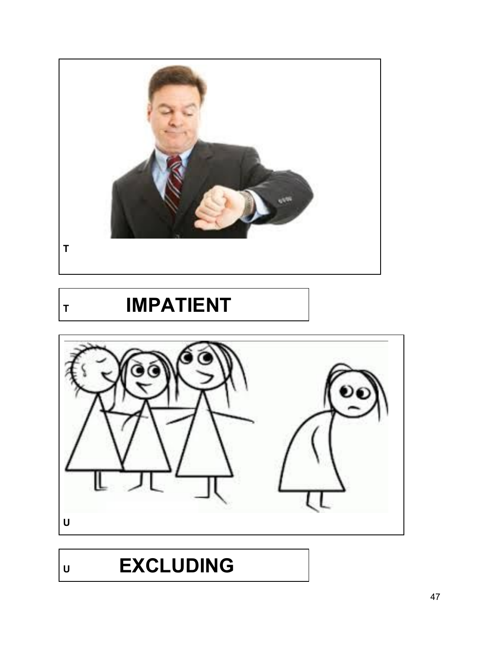

## **<sup>T</sup>IMPATIENT**



# **<sup>U</sup>EXCLUDING**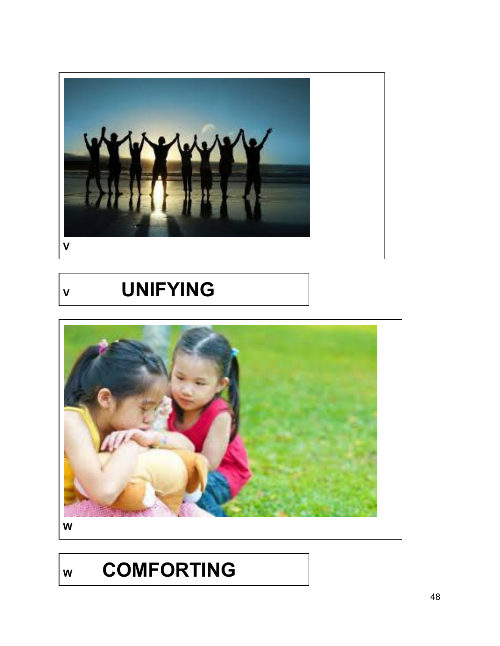

**<sup>V</sup>UNIFYING**



**<sup>W</sup>COMFORTING**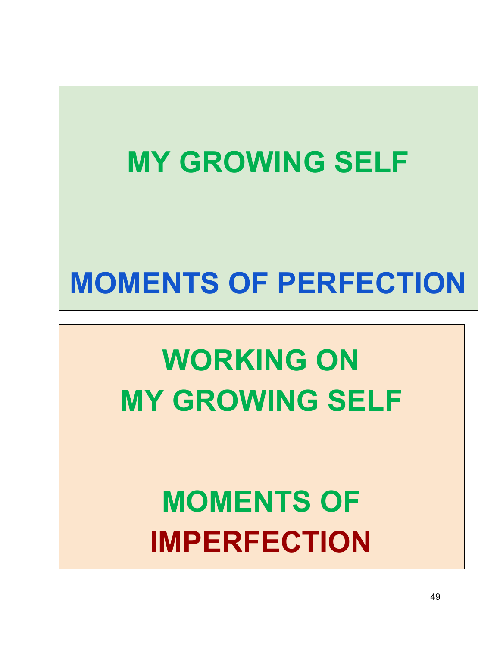# **MY GROWING SELF MOMENTS OF PERFECTION**

# **WORKING ON MY GROWING SELF**

# **MOMENTS OF IMPERFECTION**